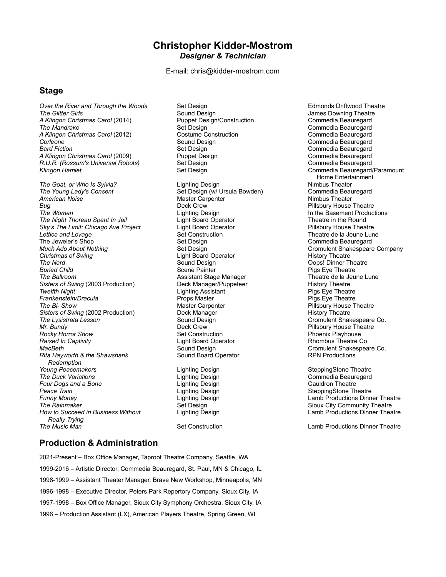## **Christopher Kidder-Mostrom** *Designer & Technician*

E-mail: chris@kidder-mostrom.com

## **Stage**

*Over the River and Through the Woods* Set Design Set Design Set Design Set Design Set Design Bedmonds Driftwood Theatre<br>The Glitter Girls Search Cound Design Sexual Design Search Design Search Design Design Design Design *A Klingon Christmas Carol* (2014) Puppet Design<br>The Mandrake Carol Construction Construction Construction Construction Construction Construction Comment *A Klingon Christmas Carol* (2012) Costume Cons<br>
Corleone Corleone Commedia Beaure Porleone Corleone Corleone Corleone Corleone Corleone Commedia Beauregard<br>
Set Design Commedia Beauregard<br>
Set Design Commedia Beauregard *A Klingon Christmas Carol* (2009) Puppet Design Commedia Beauregard<br>R.*U.R. (Rossum's Universal Robots)* Set Design Commedia Beauregard *R.U.R. (Rossum's Universal Robots) Klingon Hamlet* Set Design Commedia Beauregard/Paramount

*The Goat, or Who Is Sylvia?* Lighting Design Nimbus Theater *The Young Lady's Consent* Set Design (w/ Ursula Bowden) Commedia Beauregard Commedia Beauregard Commedia Beauregard<br>American Noise Commedia Design (Master Carpenter **Bug Bug Pillsbury House Theatre Deck Crew <b>Pillsbury House Theatre Pillsbury House Theatre** The Women **In the Basement Productions**<br>The Night Thoreau Spent In Jail **In the Basement Productions**<br>The atte in the Round *The Night Thoreau Spent In Jail* Light Board Operator Theatre in the Round **Sky's The Limit: Chicago Ave Project** Provide and Lovage **Construction** Set Construction Construction Theatre de la Jeune Lune<br>
Set Design Commedia Beauregard<br>
Set Design Commedia Beauregard The Jeweler's Shop Set Design (Set Design Set Design Set Design Set Design Set Design Set Design Set Design Set Design Set Design Set Design Set Design Set Design Set Design Set Design Set Design Set Design Set Design Set *Much Ado About Nothing* Set Design Cromulent Shakespeare Company **The Nerd** Child Child Child Child Child Child Child Child Child Child Child Child Child Child Child Child Child Child Child Child Child Child Child Child Child Child Child Child Child Child Child Child Child Child Child C *Buried Child* Scene Painter Pigs Eye Theatre *Sisters of Swing* (2003 Production) Deck Manager/Puppeteer History Theatre<br>Twelfth Night Lighting Assistant Pigs Eye Theatre *Twelfth Night* Lighting Assistant Pigs Eye Theatre **Frankenstein/Dracula** Props Master **Props Master** Props Master Carpenter *Sisters of Swing (2002 Production)* Deck Manager *The Lysistrata Lesson* **The Lysistrata Lesson** Sound Design Sound Design Cromulent Shakespeare Co.<br>Mr. Bundy Muse Theatre Co. All Cromulent Shakespeare Co. **Procky Horror Show Set Construction** Set Construction<br>
Raised In Captivity **Set Construction**<br>
Construction Poenix Process Construction<br>
Phoenix Playhouse Theatre Co. **Raised In Captivity Light Board Operator Co. Accord Co. 2016**<br>MacBeth MacBeth **Rita Hayworth & the Shawshank**  *Redemption* Yo*ung Peacemakers* Lighting Design SteppingStone Theatre<br>The Duck Variations Lighting Design Commedia Beauregard **Four Dogs and a Bone Lighting Design Peace Train**<br> **Peace Train** Peace Train Lighting Design SteppingStone Theatre<br>Funny Money Lighting Design Lamb Productions Dinn *The Rainmaker* Set Design Sioux City Community Theatre **How to Succeed in Business Without**  *Really Trying* **The Music Man** Set Construction Construction Channel Demonstruction Channel Demonstructions Dinner Theatre

*The Glitter Girls* Sound Design James Downing Theatre *The Mandrake* Set Design Commedia Beauregard *Bard Fiction* Set Design Commedia Beauregard **Master Carpenter<br>Deck Crew Light Board Operator** Assistant Stage Manager **Assistant Stage Manager Assistant Stage Manager Assistance**<br>
Deck Manager/Puppeteer **Assistant Stage History Theatre** *The Bi- Show* Master Carpenter Pillsbury House Theatre *Mr. Bundy* Deck Crew Pillsbury House Theatre **Sound Design Cromulent Shakespeare Co.**<br> **Sound Board Operator** Communications Cound Board Operator *The Duck Variations* Lighting Design Commedia Beauregard

Home Entertainment<br>Nimbus Theater

**Lamb Productions Dinner Theatre** 

## **Production & Administration**

2021-Present – Box Office Manager, Taproot Theatre Company, Seattle, WA 1999-2016 – Artistic Director, Commedia Beauregard, St. Paul, MN & Chicago, IL 1998-1999 – Assistant Theater Manager, Brave New Workshop, Minneapolis, MN 1996-1998 – Executive Director, Peters Park Repertory Company, Sioux City, IA 1997-1998 – Box Office Manager, Sioux City Symphony Orchestra, Sioux City, IA 1996 – Production Assistant (LX), American Players Theatre, Spring Green, WI